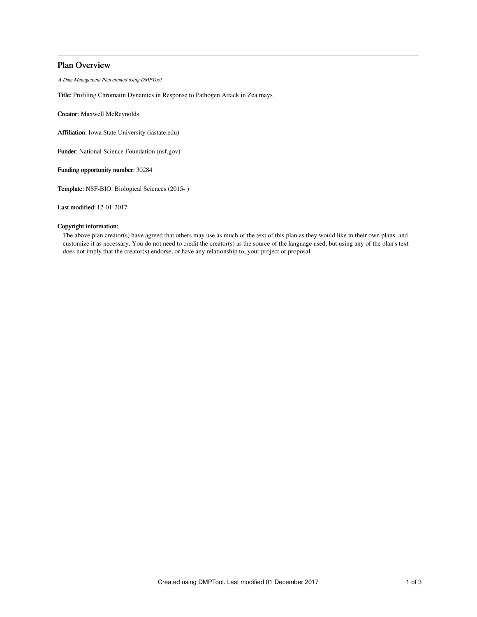# Plan Overview

A Data Management Plan created using DMPTool

Title: Profiling Chromatin Dynamics in Response to Pathogen Attack in Zea mays

Creator: Maxwell McReynolds

Affiliation: Iowa State University (iastate.edu)

Funder: National Science Foundation (nsf.gov)

Funding opportunity number: 30284

Template: NSF-BIO: Biological Sciences (2015- )

Last modified: 12-01-2017

## Copyright information:

The above plan creator(s) have agreed that others may use as much of the text of this plan as they would like in their own plans, and customize it as necessary. You do not need to credit the creator(s) as the source of the language used, but using any of the plan's text does not imply that the creator(s) endorse, or have any relationship to, your project or proposal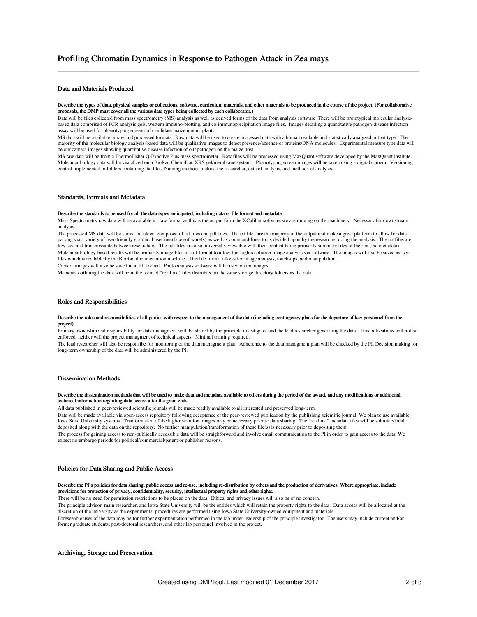## Data and Materials Produced

#### Describe the types of data, physical samples or collections, software, curriculum materials, and other materials to be produced in the course of the project. (For collaborative proposals, the DMP must cover all the various data types being collected by each collaborator.)

Data will be files collected from mass spectrometry (MS) analysis as well as derived forms of the data from analysis software There will be prototypical molecular analysisbased data comprised of PCR analysis gels, western immuno-blotting, and co-immunoprecipitation image files. Images detailing a quantitative pathogen-disease infection assay will be used for phenotyping screens of candidate maize mutant plants.

MS data will be available in raw and processed formats. Raw data will be used to create processed data with a human readable and statistically analyzed output type. The majority of the molecular biology analysis-based data will be qualitative images to detect presence/absence of proteins/DNA molecules. Experimental measure type data will be our camera images showing quantitative disease infection of our pathogen on the maize host.

MS raw data will be from a ThermoFisher Q-Exactive Plus mass spectrometer. Raw files will be processed using MaxQuant software developed by the MaxQuant institute. . Molecular biology data will be visualized on a BioRad ChemiDoc XRS gel/membrane system. Phenotyping screen images will be taken using a digital camera. Versioning control implemented in folders containing the files. Naming methods include the researcher, data of analysis, and methods of analysis.

## Standards, Formats and Metadata

### Describe the standards to be used for all the data types anticipated, including data or file format and metadata.

Mass Spectrometry raw data will be available in .raw format as this is the output form the XCalibur software we are running on the machinery. Necessary for downstream analysis.

The processed MS data will be stored in folders composed of txt files and pdf files. The txt files are the majority of the output and make a great platform to allow for data parsing via a variety of user-friendly graphical user interface software(s) as well as command-lines tools decided upon by the researcher doing the analysis. The txt files are low size and transmissable between researchers. The pdf files are also universally viewable with their content being primarily summary files of the run (the metadata). Molecular biology-based results will be primarily image files in .tiff format to allow for high resolution image analysis via software. The images will also be saved as .scn files which is readable by the BioRad documentation machine. This file format allows for image analysis, touch-ups, and manipulation. Camera images will also be saved in a .tiff format. Photo analysis software will be used on the images.

Metadata outlining the data will be in the form of "read me" files distrubted in the same storage directory folders as the data.

#### Roles and Responsibilities

#### Describe the roles and responsibilities of all parties with respect to the management of the data (including contingency plans for the departure of key personnel from the project).

Primary ownership and responsibility for data managment will be shared by the principle investigator and the lead researcher generating the data. Time allocations will not be enforced, neither will the project managment of technical aspects. Minimal training required.

The lead researcher will also be responsibe for monitoring of the data managment plan. Adherence to the data managment plan will be checked by the PI. Decision making for long-term ownership of the data will be administered by the PI.

## Dissemination Methods

## Describe the dissemination methods that will be used to make data and metadata available to others during the period of the award, and any modifications or additional technical information regarding data access after the grant ends.

All data published in peer-reviewed scientific jounals will be made readily available to all interested and preserved long-term.

Data will be made available via open-access repository following acceptance of the peer-reviewed publication by the publishing scientific journal. We plan to use available Iowa State University systems. Tranformation of the high-resolution images may be necessary prior to data sharing. The "read me" metadata files will be submitted and deposited along with the data on the repository. No further manipulation/transformation of these file(s) is necessary prior to depositing them.

The process for gaining access to non-publically accessible data will be straighforward and involve email communication to the PI in order to gain access to the data. We expect no embargo periods for political/commercial/patent or publisher reasons.

## Policies for Data Sharing and Public Access

### Describe the PI's policies for data sharing, public access and re-use, including re-distribution by others and the production of derivatives. Where appropriate, include provisions for protection of privacy, confidentiality, security, intellectual property rights and other rights.

There will be no need for permission restrictions to be placed on the data. Ethical and privacy issues will also be of no concern.

The principle advisor, main researcher, and Iowa State University will be the entities which will retain the property rights to the data. Data access will be allocated at the discretion of the university as the experimental procedures are performed using Iowa State University-owned equipment and materials.

Foreseeable uses of the data may be for further expermentation performed in the lab under leadership of the principle investigator. The users may include current and/or former graduate students, post-doctoral researchers, and other lab personnel involved in the project.

## Archiving, Storage and Preservation